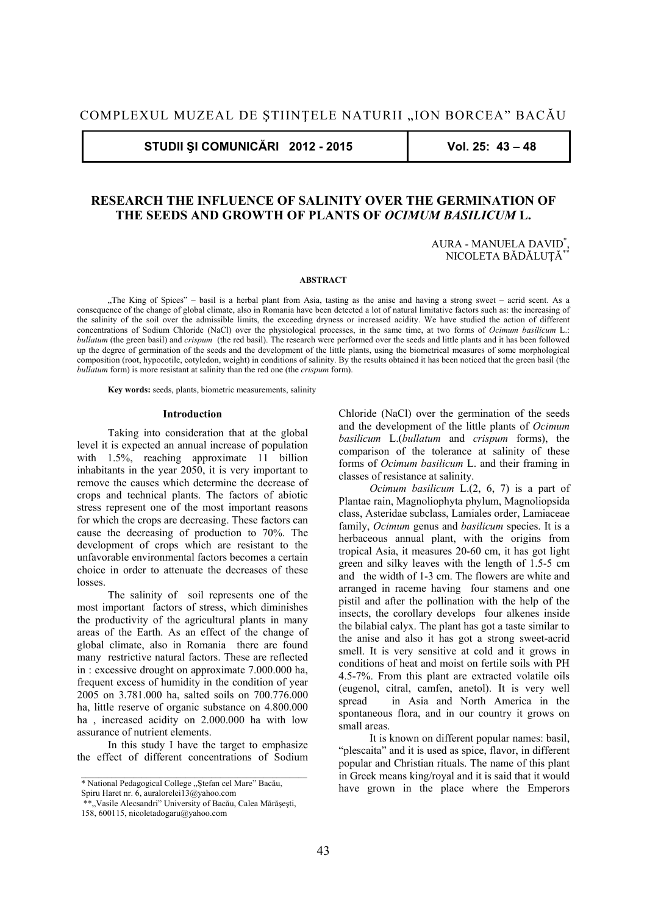**STUDII ŞI COMUNICĂRI 2012 - 2015 Vol. 25: 43 – 48** 

# **RESEARCH THE INFLUENCE OF SALINITY OVER THE GERMINATION OF THE SEEDS AND GROWTH OF PLANTS OF** *OCIMUM BASILICUM* **L.**

AURA - MANUELA DAVID\* , NICOLETA BĂDĂLUTĂ<sup>\*</sup>

#### **ABSTRACT**

"The King of Spices" – basil is a herbal plant from Asia, tasting as the anise and having a strong sweet – acrid scent. As a consequence of the change of global climate, also in Romania have been detected a lot of natural limitative factors such as: the increasing of the salinity of the soil over the admissible limits, the exceeding dryness or increased acidity. We have studied the action of different concentrations of Sodium Chloride (NaCl) over the physiological processes, in the same time, at two forms of *Ocimum basilicum* L.: *bullatum* (the green basil) and *crispum* (the red basil). The research were performed over the seeds and little plants and it has been followed up the degree of germination of the seeds and the development of the little plants, using the biometrical measures of some morphological composition (root, hypocotile, cotyledon, weight) in conditions of salinity. By the results obtained it has been noticed that the green basil (the *bullatum* form) is more resistant at salinity than the red one (the *crispum* form).

 **Key words:** seeds, plants, biometric measurements, salinity

#### **Introduction**

Taking into consideration that at the global level it is expected an annual increase of population with 1.5%, reaching approximate 11 billion inhabitants in the year 2050, it is very important to remove the causes which determine the decrease of crops and technical plants. The factors of abiotic stress represent one of the most important reasons for which the crops are decreasing. These factors can cause the decreasing of production to 70%. The development of crops which are resistant to the unfavorable environmental factors becomes a certain choice in order to attenuate the decreases of these losses.

The salinity of soil represents one of the most important factors of stress, which diminishes the productivity of the agricultural plants in many areas of the Earth. As an effect of the change of global climate, also in Romania there are found many restrictive natural factors. These are reflected in : excessive drought on approximate 7.000.000 ha, frequent excess of humidity in the condition of year 2005 on 3.781.000 ha, salted soils on 700.776.000 ha, little reserve of organic substance on 4.800.000 ha , increased acidity on 2.000.000 ha with low assurance of nutrient elements.

In this study I have the target to emphasize the effect of different concentrations of Sodium Chloride (NaCl) over the germination of the seeds and the development of the little plants of *Ocimum basilicum* L.(*bullatum* and *crispum* forms), the comparison of the tolerance at salinity of these forms of *Ocimum basilicum* L. and their framing in classes of resistance at salinity.

*Ocimum basilicum* L.(2, 6, 7) is a part of Plantae rain, Magnoliophyta phylum, Magnoliopsida class, Asteridae subclass, Lamiales order, Lamiaceae family, *Ocimum* genus and *basilicum* species. It is a herbaceous annual plant, with the origins from tropical Asia, it measures 20-60 cm, it has got light green and silky leaves with the length of 1.5-5 cm and the width of 1-3 cm. The flowers are white and arranged in raceme having four stamens and one pistil and after the pollination with the help of the insects, the corollary develops four alkenes inside the bilabial calyx. The plant has got a taste similar to the anise and also it has got a strong sweet-acrid smell. It is very sensitive at cold and it grows in conditions of heat and moist on fertile soils with PH 4.5-7%. From this plant are extracted volatile oils (eugenol, citral, camfen, anetol). It is very well spread in Asia and North America in the spontaneous flora, and in our country it grows on small areas.

It is known on different popular names: basil, "plescaita" and it is used as spice, flavor, in different popular and Christian rituals. The name of this plant in Greek means king/royal and it is said that it would have grown in the place where the Emperors

<sup>\*</sup> National Pedagogical College "Stefan cel Mare" Bacău,

Spiru Haret nr. 6, auralorelei13@yahoo.com

<sup>\*\*,</sup> Vasile Alecsandri" University of Bacău, Calea Mărășești,

<sup>158, 600115,</sup> nicoletadogaru@yahoo.com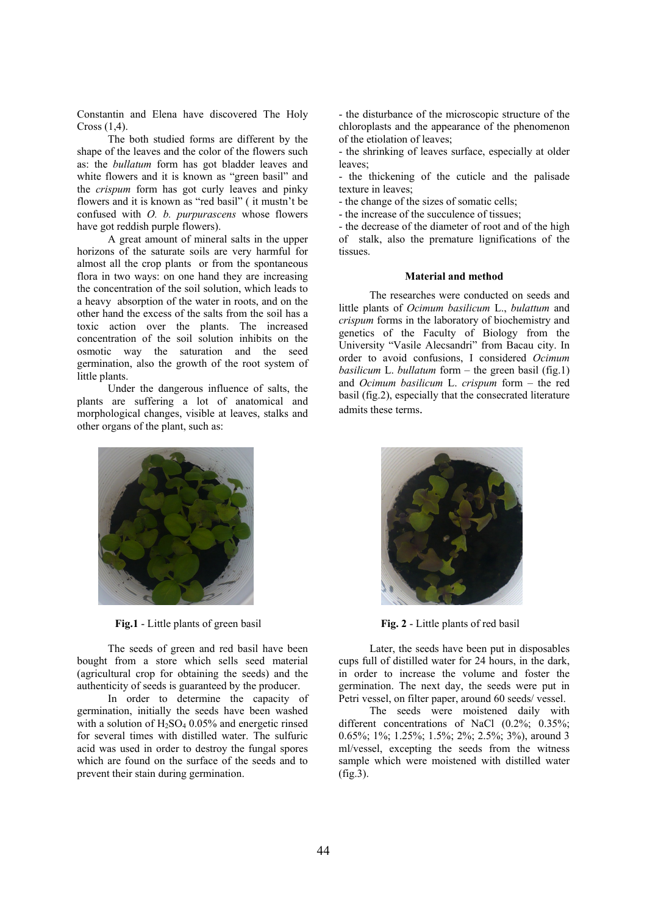Constantin and Elena have discovered The Holy Cross (1,4).

The both studied forms are different by the shape of the leaves and the color of the flowers such as: the *bullatum* form has got bladder leaves and white flowers and it is known as "green basil" and the *crispum* form has got curly leaves and pinky flowers and it is known as "red basil" ( it mustn't be confused with *O. b. purpurascens* whose flowers have got reddish purple flowers).

A great amount of mineral salts in the upper horizons of the saturate soils are very harmful for almost all the crop plants or from the spontaneous flora in two ways: on one hand they are increasing the concentration of the soil solution, which leads to a heavy absorption of the water in roots, and on the other hand the excess of the salts from the soil has a toxic action over the plants. The increased concentration of the soil solution inhibits on the osmotic way the saturation and the seed germination, also the growth of the root system of little plants.

Under the dangerous influence of salts, the plants are suffering a lot of anatomical and morphological changes, visible at leaves, stalks and other organs of the plant, such as:



**Fig. 1** - Little plants of green basil **Fig. 2** - Little plants of red basil

The seeds of green and red basil have been bought from a store which sells seed material (agricultural crop for obtaining the seeds) and the authenticity of seeds is guaranteed by the producer.

In order to determine the capacity of germination, initially the seeds have been washed with a solution of  $H_2SO_4$  0.05% and energetic rinsed for several times with distilled water. The sulfuric acid was used in order to destroy the fungal spores which are found on the surface of the seeds and to prevent their stain during germination.

- the disturbance of the microscopic structure of the chloroplasts and the appearance of the phenomenon of the etiolation of leaves;

- the shrinking of leaves surface, especially at older leaves;

- the thickening of the cuticle and the palisade texture in leaves;

- the change of the sizes of somatic cells;

- the increase of the succulence of tissues;

- the decrease of the diameter of root and of the high of stalk, also the premature lignifications of the tissues.

### **Material and method**

The researches were conducted on seeds and little plants of *Ocimum basilicum* L., *bulattum* and *crispum* forms in the laboratory of biochemistry and genetics of the Faculty of Biology from the University "Vasile Alecsandri" from Bacau city. In order to avoid confusions, I considered *Ocimum basilicum* L. *bullatum* form – the green basil (fig.1) and *Ocimum basilicum* L. *crispum* form – the red basil (fig.2), especially that the consecrated literature admits these terms.



Later, the seeds have been put in disposables cups full of distilled water for 24 hours, in the dark, in order to increase the volume and foster the germination. The next day, the seeds were put in Petri vessel, on filter paper, around 60 seeds/ vessel.

The seeds were moistened daily with different concentrations of NaCl (0.2%; 0.35%; 0.65%; 1%; 1.25%; 1.5%; 2%; 2.5%; 3%), around 3 ml/vessel, excepting the seeds from the witness sample which were moistened with distilled water (fig.3).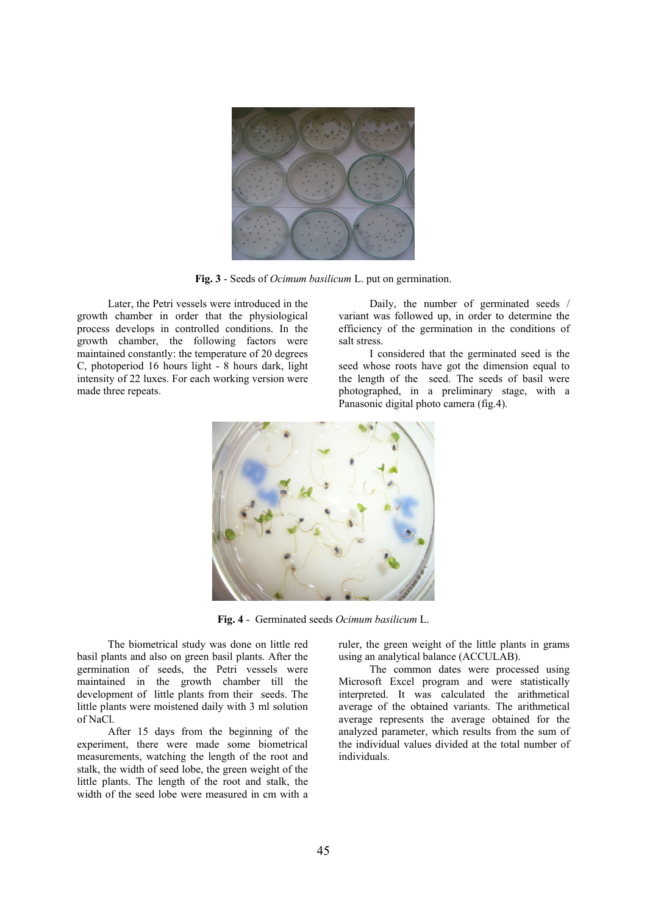

**Fig. 3** - Seeds of *Ocimum basilicum* L. put on germination.

Later, the Petri vessels were introduced in the growth chamber in order that the physiological process develops in controlled conditions. In the growth chamber, the following factors were maintained constantly: the temperature of 20 degrees C, photoperiod 16 hours light - 8 hours dark, light intensity of 22 luxes. For each working version were made three repeats.

Daily, the number of germinated seeds / variant was followed up, in order to determine the efficiency of the germination in the conditions of salt stress.

I considered that the germinated seed is the seed whose roots have got the dimension equal to the length of the seed. The seeds of basil were photographed, in a preliminary stage, with a Panasonic digital photo camera (fig.4).



**Fig. 4** - Germinated seeds *Ocimum basilicum* L.

The biometrical study was done on little red basil plants and also on green basil plants. After the germination of seeds, the Petri vessels were maintained in the growth chamber till the development of little plants from their seeds. The little plants were moistened daily with 3 ml solution of NaCl.

After 15 days from the beginning of the experiment, there were made some biometrical measurements, watching the length of the root and stalk, the width of seed lobe, the green weight of the little plants. The length of the root and stalk, the width of the seed lobe were measured in cm with a ruler, the green weight of the little plants in grams using an analytical balance (ACCULAB).

The common dates were processed using Microsoft Excel program and were statistically interpreted. It was calculated the arithmetical average of the obtained variants. The arithmetical average represents the average obtained for the analyzed parameter, which results from the sum of the individual values divided at the total number of individuals.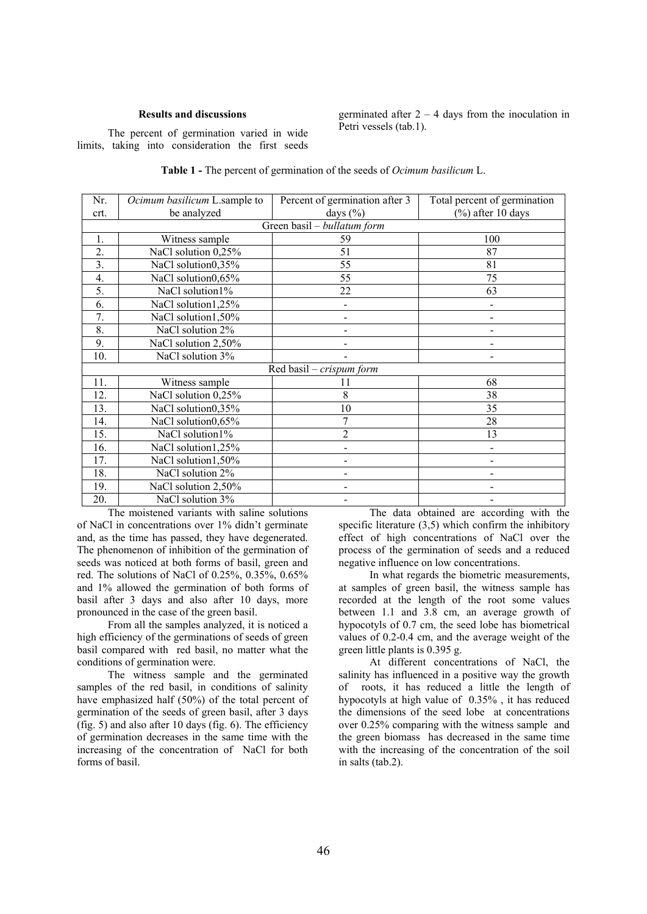## **Results and discussions**

The percent of germination varied in wide limits, taking into consideration the first seeds germinated after  $2 - 4$  days from the inoculation in Petri vessels (tab.1).

| <b>Table 1 - The percent of germination of the seeds of Ocimum basilicum L.</b> |
|---------------------------------------------------------------------------------|
|---------------------------------------------------------------------------------|

| Nr.                         | Ocimum basilicum L.sample to | Percent of germination after 3 | Total percent of germination |  |  |  |  |  |
|-----------------------------|------------------------------|--------------------------------|------------------------------|--|--|--|--|--|
| crt.                        | be analyzed                  | days $(\% )$                   | $(\%)$ after 10 days         |  |  |  |  |  |
| Green basil - bullatum form |                              |                                |                              |  |  |  |  |  |
| 1.                          | Witness sample               | 59                             | 100                          |  |  |  |  |  |
| 2.                          | NaCl solution 0,25%          | 51                             | 87                           |  |  |  |  |  |
| $\overline{3}$ .            | NaCl solution0,35%           | 55                             | 81                           |  |  |  |  |  |
| 4.                          | NaCl solution0,65%           | 55                             | 75                           |  |  |  |  |  |
| 5.                          | NaCl solution1%              | 22                             | 63                           |  |  |  |  |  |
| 6.                          | NaCl solution1,25%           |                                |                              |  |  |  |  |  |
| 7.                          | NaCl solution1,50%           |                                |                              |  |  |  |  |  |
| 8.                          | NaCl solution 2%             |                                |                              |  |  |  |  |  |
| 9.                          | NaCl solution 2,50%          |                                |                              |  |  |  |  |  |
| 10.                         | NaCl solution 3%             |                                |                              |  |  |  |  |  |
| Red basil – crispum form    |                              |                                |                              |  |  |  |  |  |
| 11.                         | Witness sample               | 11                             | 68                           |  |  |  |  |  |
| 12.                         | NaCl solution 0,25%          | 8                              | 38                           |  |  |  |  |  |
| 13.                         | NaCl solution0,35%           | 10                             | 35                           |  |  |  |  |  |
| 14.                         | NaCl solution0,65%           | 7                              | 28                           |  |  |  |  |  |
| 15.                         | NaCl solution1%              | $\overline{2}$                 | 13                           |  |  |  |  |  |
| 16.                         | NaCl solution1,25%           |                                |                              |  |  |  |  |  |
| 17.                         | NaCl solution1,50%           |                                |                              |  |  |  |  |  |
| 18.                         | NaCl solution 2%             |                                |                              |  |  |  |  |  |
| 19.                         | NaCl solution 2,50%          |                                |                              |  |  |  |  |  |
| 20.                         | NaCl solution 3%             |                                |                              |  |  |  |  |  |

The moistened variants with saline solutions of NaCl in concentrations over 1% didn't germinate and, as the time has passed, they have degenerated. The phenomenon of inhibition of the germination of seeds was noticed at both forms of basil, green and red. The solutions of NaCl of 0.25%, 0.35%, 0.65% and 1% allowed the germination of both forms of basil after 3 days and also after 10 days, more pronounced in the case of the green basil.

From all the samples analyzed, it is noticed a high efficiency of the germinations of seeds of green basil compared with red basil, no matter what the conditions of germination were.

The witness sample and the germinated samples of the red basil, in conditions of salinity have emphasized half (50%) of the total percent of germination of the seeds of green basil, after 3 days (fig. 5) and also after 10 days (fig. 6). The efficiency of germination decreases in the same time with the increasing of the concentration of NaCl for both forms of basil.

The data obtained are according with the specific literature (3,5) which confirm the inhibitory effect of high concentrations of NaCl over the process of the germination of seeds and a reduced negative influence on low concentrations.

In what regards the biometric measurements, at samples of green basil, the witness sample has recorded at the length of the root some values between 1.1 and 3.8 cm, an average growth of hypocotyls of 0.7 cm, the seed lobe has biometrical values of 0.2-0.4 cm, and the average weight of the green little plants is 0.395 g.

At different concentrations of NaCl, the salinity has influenced in a positive way the growth of roots, it has reduced a little the length of hypocotyls at high value of 0.35% , it has reduced the dimensions of the seed lobe at concentrations over 0.25% comparing with the witness sample and the green biomass has decreased in the same time with the increasing of the concentration of the soil in salts (tab.2).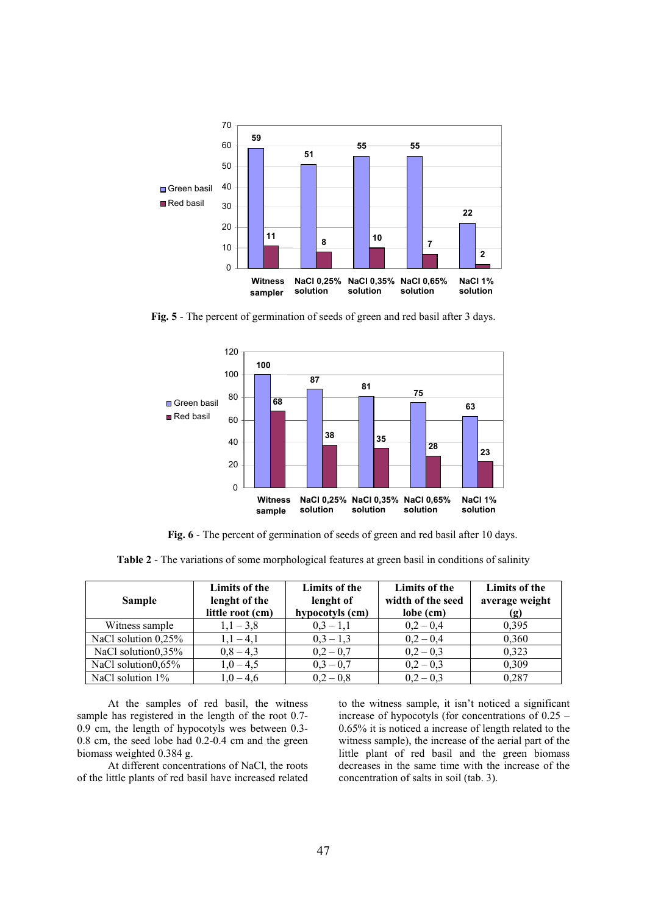

**Fig. 5** - The percent of germination of seeds of green and red basil after 3 days.



**Fig. 6** - The percent of germination of seeds of green and red basil after 10 days.

**Table 2** - The variations of some morphological features at green basil in conditions of salinity

| <b>Sample</b>       | Limits of the<br>lenght of the<br>little root (cm) | Limits of the<br>lenght of<br>hypocotyls (cm) | Limits of the<br>width of the seed<br>lobe (cm) | Limits of the<br>average weight<br>(g) |
|---------------------|----------------------------------------------------|-----------------------------------------------|-------------------------------------------------|----------------------------------------|
| Witness sample      | $1,1-3,8$                                          | $0,3-1,1$                                     | $0,2 - 0,4$                                     | 0,395                                  |
| NaCl solution 0,25% | $1,1-4,1$                                          | $0,3-1,3$                                     | $0,2 - 0,4$                                     | 0,360                                  |
| NaCl solution0,35%  | $0,8-4,3$                                          | $0,2 - 0,7$                                   | $0,2 - 0,3$                                     | 0,323                                  |
| NaCl solution0,65%  | $1,0-4,5$                                          | $0,3 - 0,7$                                   | $0,2 - 0,3$                                     | 0,309                                  |
| NaCl solution $1\%$ | $1.0 - 4.6$                                        | $0.2 - 0.8$                                   | $0.2 - 0.3$                                     | 0,287                                  |

At the samples of red basil, the witness sample has registered in the length of the root 0.7- 0.9 cm, the length of hypocotyls wes between 0.3- 0.8 cm, the seed lobe had 0.2-0.4 cm and the green biomass weighted 0.384 g.

At different concentrations of NaCl, the roots of the little plants of red basil have increased related

to the witness sample, it isn't noticed a significant increase of hypocotyls (for concentrations of 0.25 – 0.65% it is noticed a increase of length related to the witness sample), the increase of the aerial part of the little plant of red basil and the green biomass decreases in the same time with the increase of the concentration of salts in soil (tab. 3).